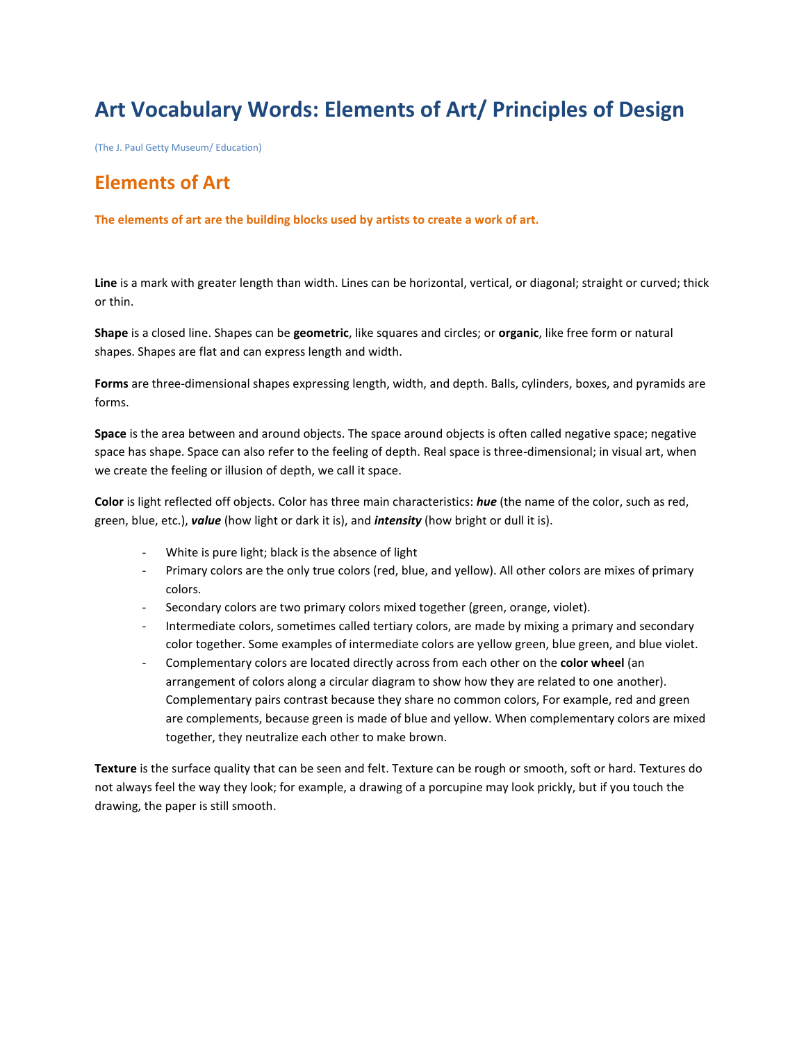## **Art Vocabulary Words: Elements of Art/ Principles of Design**

(The J. Paul Getty Museum/ Education)

## **Elements of Art**

**The elements of art are the building blocks used by artists to create a work of art.**

**Line** is a mark with greater length than width. Lines can be horizontal, vertical, or diagonal; straight or curved; thick or thin.

**Shape** is a closed line. Shapes can be **geometric**, like squares and circles; or **organic**, like free form or natural shapes. Shapes are flat and can express length and width.

**Forms** are three-dimensional shapes expressing length, width, and depth. Balls, cylinders, boxes, and pyramids are forms.

**Space** is the area between and around objects. The space around objects is often called negative space; negative space has shape. Space can also refer to the feeling of depth. Real space is three-dimensional; in visual art, when we create the feeling or illusion of depth, we call it space.

**Color** is light reflected off objects. Color has three main characteristics: *hue* (the name of the color, such as red, green, blue, etc.), *value* (how light or dark it is), and *intensity* (how bright or dull it is).

- White is pure light; black is the absence of light
- Primary colors are the only true colors (red, blue, and yellow). All other colors are mixes of primary colors.
- Secondary colors are two primary colors mixed together (green, orange, violet).
- Intermediate colors, sometimes called tertiary colors, are made by mixing a primary and secondary color together. Some examples of intermediate colors are yellow green, blue green, and blue violet.
- Complementary colors are located directly across from each other on the **color wheel** (an arrangement of colors along a circular diagram to show how they are related to one another). Complementary pairs contrast because they share no common colors, For example, red and green are complements, because green is made of blue and yellow. When complementary colors are mixed together, they neutralize each other to make brown.

**Texture** is the surface quality that can be seen and felt. Texture can be rough or smooth, soft or hard. Textures do not always feel the way they look; for example, a drawing of a porcupine may look prickly, but if you touch the drawing, the paper is still smooth.